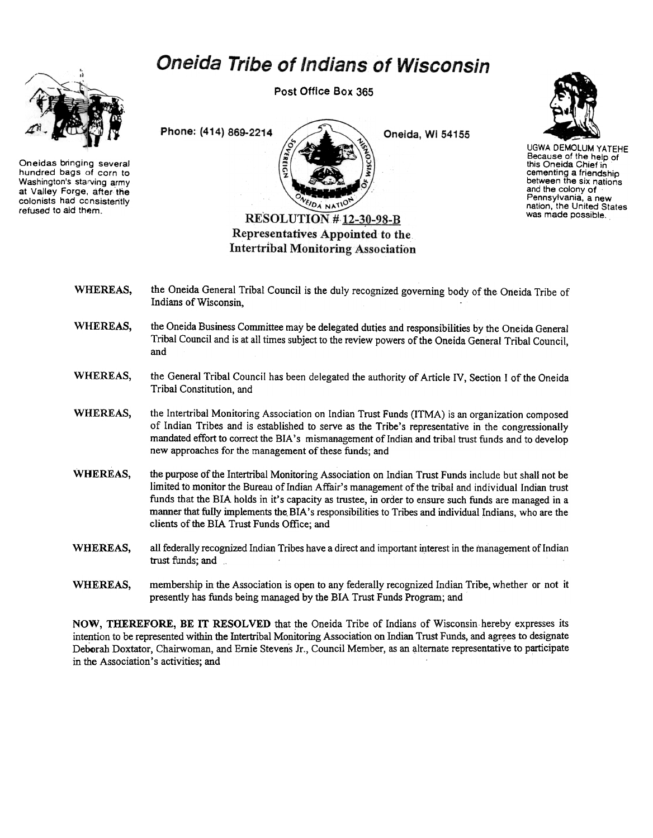## Oneida Tribe of Indians of Wisconsin



Oneidas bringing several hundred bags of corn to Washington's starving army at Valley Forge, after the colonists had consistently refused to aid them.

Post Office Box 365



Oneida, Wi 54155



UGWA DEMOLUM YATEHE Because of the help of this Oneida Chief in cementing a friendship between the six nations and the colony of Pennsylvania, a new nation, the United States was made possible.

WHEREAS, the Oneida General Tribal Council is the duly recognized governing body of the Oneida Tribe of Indians of Wisconsin,

**Intertribal Monitoring Association** 

- WHEREAS, the Oneida Business Committee may be delegated duties and responsibilities by the Oneida General Tribal Council and is at all times subject to the review powers of the Oneida General Tribal Council, and
- WHEREAS, the General Tribal Council has been delegated the authority of Article IV, Section I of the Oneida Tribal Constitution, and
- WHEREAS, the Intertribal Monitoring Association on Indian Trust Funds (ITMA) is an organization composed of Indian Tribes and is established to serve as the Tribe's representative in the congressionally mandated effort to correct the BIA's mismanagement of Indian and tribal trust funds and to develop new approaches for the management of these funds; and
- WHEREAS, the purpose of the Intertribal Monitoring Association on Indian Trust Funds include but shall not be limited to monitor the Bureau of Indian Affair's management of the tribal and individual Indian trust funds that the BIA holds in it's capacity as trustee, in order to ensure such funds are managed in a manner that fully implements the BIA's responsibilities to Tribes and individual Indians, who are the clients of the BIA Trust Funds Office; and
- WHEREAS, all federally recognized Indian Tribes have a direct and important interest in the management of Indian trust funds; and
- WHEREAS, membership in the Association is open to any federally recognized Indian Tribe, whether or not it presently has funds being managed by the BIA Trust Funds Program; and

NOW, THEREFORE, BE IT RESOLVED that the Oneida Tribe of Indians of Wisconsin hereby expresses its intention to be represented within the Intertribal Monitoring Association on Indian Trust Funds, and agrees to designate Deborah Doxtator, Chairwoman, and Ernie Stevens Jr., Council Member, as an alternate representative to participate in the Association's activities; and